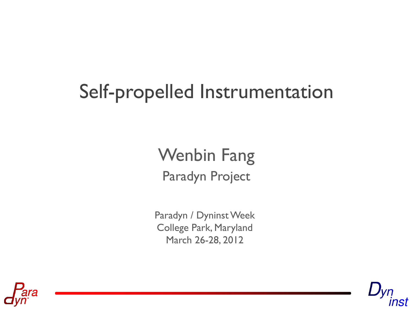# Self-propelled Instrumentation

#### Paradyn Project Wenbin Fang

Paradyn / Dyninst Week College Park, Maryland March 26-28, 2012



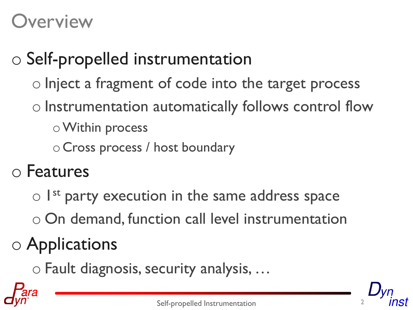### **Overview**

# o Self-propelled instrumentation

- o Inject a fragment of code into the target process
- o Instrumentation automatically follows control flow
	- oWithin process
	- o Cross process / host boundary
- o Features
	- o I<sup>st</sup> party execution in the same address space
	- o On demand, function call level instrumentation

# o Applications

o Fault diagnosis, security analysis, …

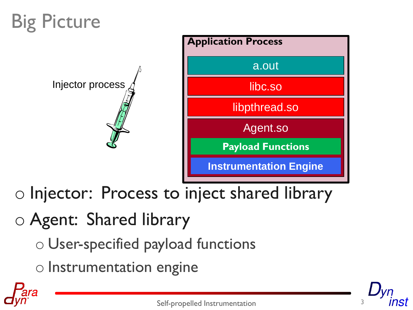# Big Picture





o Injector: Process to inject shared library

#### o Agent: Shared library

- o User-specified payload functions
- o Instrumentation engine



Self-propelled Instrumentation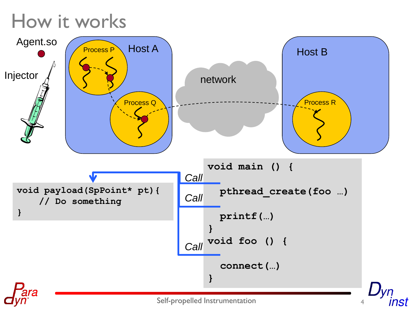# How it works

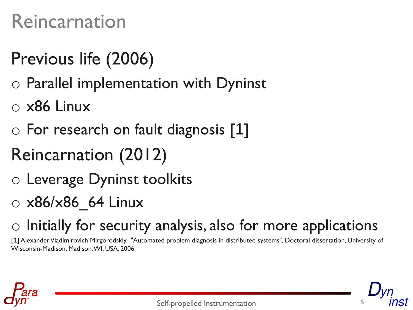### Reincarnation

### Previous life (2006)

- o Parallel implementation with Dyninst
- o x86 Linux
- o For research on fault diagnosis [1]
- Reincarnation (2012)
- o Leverage Dyninst toolkits
- $\circ$  x86/x86 64 Linux
- $\circ$  Initially for security analysis, also for more applications

[1] Alexander Vladimirovich Mirgorodskiy, "Automated problem diagnosis in distributed systems", Doctoral dissertation, University of Wisconsin-Madison, Madison, WI, USA, 2006.

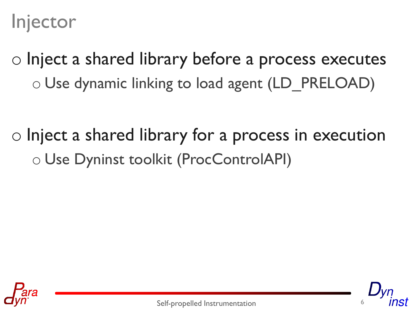Injector

o Inject a shared library before a process executes o Use dynamic linking to load agent (LD\_PRELOAD)

o Inject a shared library for a process in execution o Use Dyninst toolkit (ProcControlAPI)



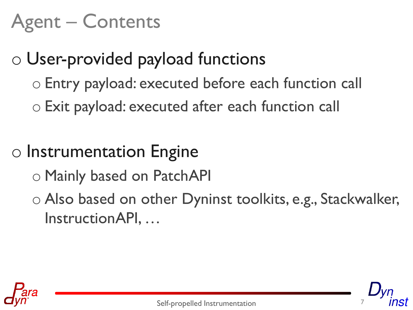# Agent – Contents

#### o User-provided payload functions

- o Entry payload: executed before each function call
- o Exit payload: executed after each function call

#### o Instrumentation Engine

- o Mainly based on PatchAPI
- o Also based on other Dyninst toolkits, e.g., Stackwalker, InstructionAPI, …

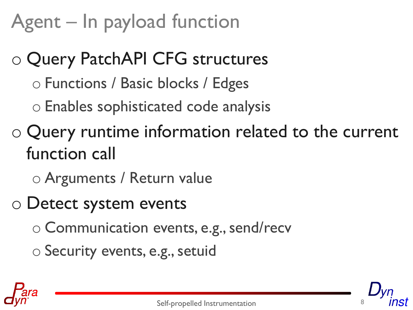# Agent – In payload function

- o Query PatchAPI CFG structures
	- o Functions / Basic blocks / Edges
	- o Enables sophisticated code analysis
- o Query runtime information related to the current function call
	- o Arguments / Return value
- o Detect system events
	- o Communication events, e.g., send/recv
	- o Security events, e.g., setuid

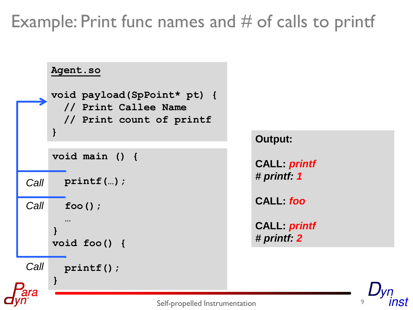#### Example: Print func names and  $#$  of calls to printf

9

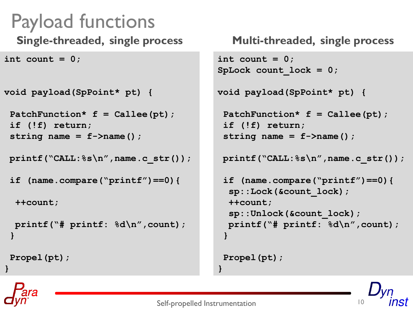```
Payload functions
 Single-threaded, single process
int count = 0;
```

```
void payload(SpPoint* pt) {
```

```
PatchFunction* f = Callee(pt);
if (!f) return;
string name = f->name();
```

```
printf("CALL:%s\n",name.c_str());
```

```
if (name.compare("printf")==0){
```
**++count;**

```
 printf("# printf: %d\n",count);
}
```
**Propel(pt);**

**}**

```
Multi-threaded, single process
```

```
int count = 0;
SpLock count_lock = 0;
```
**void payload(SpPoint\* pt) {**

```
PatchFunction* f = Callee(pt);
if (!f) return;
string name = f->name();
```
**printf("CALL:%s\n",name.c\_str());**

```
if (name.compare("printf")==0){
 sp::Lock(&count_lock);
 ++count;
  sp::Unlock(&count_lock);
 printf("# printf: %d\n",count);
}
```

```
Propel(pt);
```


**}**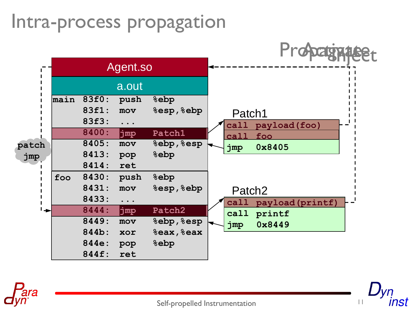#### Intra-process propagation





Self-propelled Instrumentation

11

nst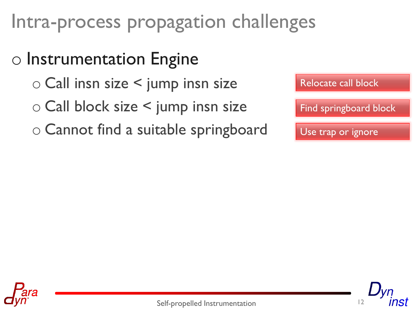# Intra-process propagation challenges

#### o Instrumentation Engine

- o Call insn size < jump insn size
- o Call block size < jump insn size
- o Cannot find a suitable springboard





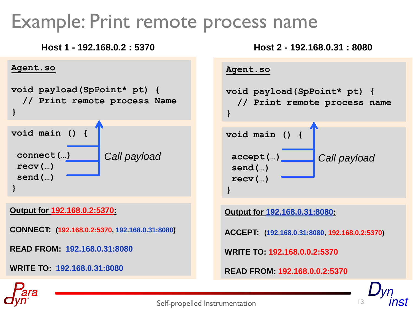#### Example: Print remote process name

#### **Host 1 - 192.168.0.2 : 5370**





**Output for 192.168.0.2:5370:**

**CONNECT: (192.168.0.2:5370, 192.168.0.31:8080)**

**READ FROM: 192.168.0.31:8080**

**WRITE TO: 192.168.0.31:8080**



**Output for 192.168.0.31:8080:**

**ACCEPT: (192.168.0.31:8080, 192.168.0.2:5370)**

**WRITE TO: 192.168.0.0.2:5370**

**READ FROM: 192.168.0.0.2:5370**



Self-propelled Instrumentation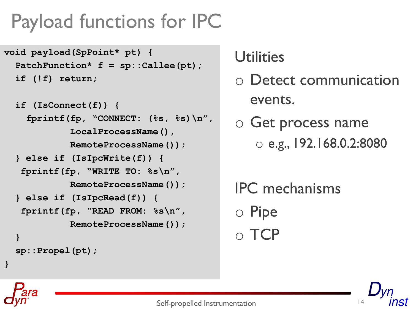# Payload functions for IPC

```
void payload(SpPoint* pt) {
   PatchFunction* f = sp::Callee(pt);
   if (!f) return;
```

```
 if (IsConnect(f)) {
   fprintf(fp, "CONNECT: (%s, %s)\n",
           LocalProcessName(),
           RemoteProcessName());
} else if (IsIpcWrite(f)) {
  fprintf(fp, "WRITE TO: %s\n", 
           RemoteProcessName());
 } else if (IsIpcRead(f)) {
  fprintf(fp, "READ FROM: %s\n", 
           RemoteProcessName()); 
}
 sp::Propel(pt);
```
**}**

#### **Utilities**

- o Detect communication events.
- o Get process name o e.g., 192.168.0.2:8080
- IPC mechanisms o Pipe o TCP

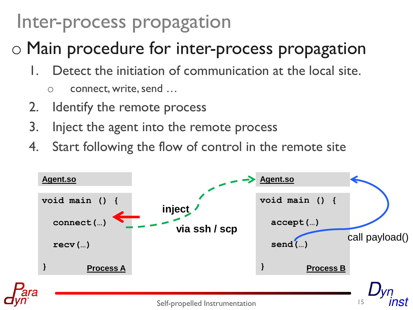### Inter-process propagation

#### o Main procedure for inter-process propagation

- Detect the initiation of communication at the local site.
	- o connect, write, send …
- 2. Identify the remote process
- 3. Inject the agent into the remote process
- 4. Start following the flow of control in the remote site

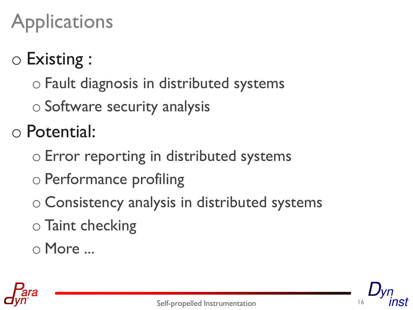# **Applications**

# o Existing :

- o Fault diagnosis in distributed systems
- o Software security analysis

o Potential:

- o Error reporting in distributed systems
- o Performance profiling
- o Consistency analysis in distributed systems
- o Taint checking
- o More ...



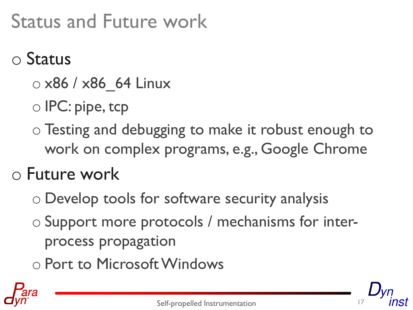# Status and Future work

#### o Status

- o x86 / x86\_64 Linux
- o IPC: pipe, tcp
- o Testing and debugging to make it robust enough to work on complex programs, e.g., Google Chrome

#### o Future work

- o Develop tools for software security analysis
- o Support more protocols / mechanisms for interprocess propagation
- o Port to Microsoft Windows